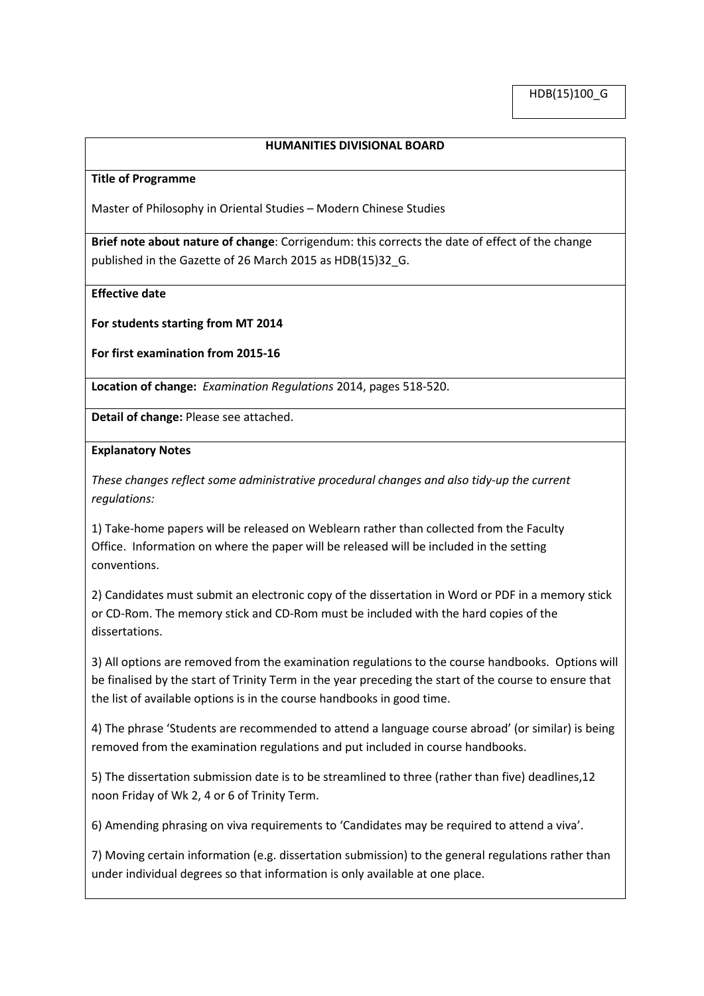## **HUMANITIES DIVISIONAL BOARD**

## **Title of Programme**

Master of Philosophy in Oriental Studies – Modern Chinese Studies

**Brief note about nature of change**: Corrigendum: this corrects the date of effect of the change published in the Gazette of 26 March 2015 as HDB(15)32\_G.

**Effective date**

**For students starting from MT 2014**

**For first examination from 2015-16**

**Location of change:** *Examination Regulations* 2014, pages 518-520.

**Detail of change:** Please see attached.

## **Explanatory Notes**

*These changes reflect some administrative procedural changes and also tidy-up the current regulations:*

1) Take-home papers will be released on Weblearn rather than collected from the Faculty Office. Information on where the paper will be released will be included in the setting conventions.

2) Candidates must submit an electronic copy of the dissertation in Word or PDF in a memory stick or CD-Rom. The memory stick and CD-Rom must be included with the hard copies of the dissertations.

3) All options are removed from the examination regulations to the course handbooks. Options will be finalised by the start of Trinity Term in the year preceding the start of the course to ensure that the list of available options is in the course handbooks in good time.

4) The phrase 'Students are recommended to attend a language course abroad' (or similar) is being removed from the examination regulations and put included in course handbooks.

5) The dissertation submission date is to be streamlined to three (rather than five) deadlines,12 noon Friday of Wk 2, 4 or 6 of Trinity Term.

6) Amending phrasing on viva requirements to 'Candidates may be required to attend a viva'.

7) Moving certain information (e.g. dissertation submission) to the general regulations rather than under individual degrees so that information is only available at one place.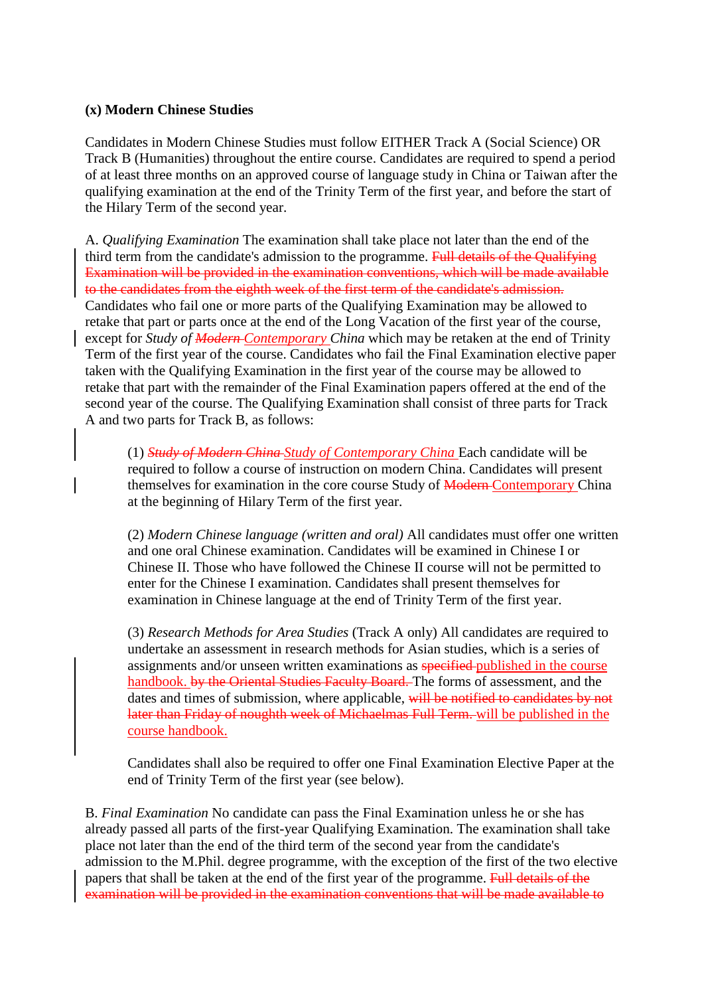## **(x) Modern Chinese Studies**

Candidates in Modern Chinese Studies must follow EITHER Track A (Social Science) OR Track B (Humanities) throughout the entire course. Candidates are required to spend a period of at least three months on an approved course of language study in China or Taiwan after the qualifying examination at the end of the Trinity Term of the first year, and before the start of the Hilary Term of the second year.

A. *Qualifying Examination* The examination shall take place not later than the end of the third term from the candidate's admission to the programme. Full details of the Qualifying Examination will be provided in the examination conventions, which will be made available to the candidates from the eighth week of the first term of the candidate's admission. Candidates who fail one or more parts of the Qualifying Examination may be allowed to retake that part or parts once at the end of the Long Vacation of the first year of the course, except for *Study of Modern Contemporary China* which may be retaken at the end of Trinity Term of the first year of the course. Candidates who fail the Final Examination elective paper taken with the Qualifying Examination in the first year of the course may be allowed to retake that part with the remainder of the Final Examination papers offered at the end of the second year of the course. The Qualifying Examination shall consist of three parts for Track A and two parts for Track B, as follows:

(1) *Study of Modern China Study of Contemporary China* Each candidate will be required to follow a course of instruction on modern China. Candidates will present themselves for examination in the core course Study of Modern-Contemporary China at the beginning of Hilary Term of the first year.

(2) *Modern Chinese language (written and oral)* All candidates must offer one written and one oral Chinese examination. Candidates will be examined in Chinese I or Chinese II. Those who have followed the Chinese II course will not be permitted to enter for the Chinese I examination. Candidates shall present themselves for examination in Chinese language at the end of Trinity Term of the first year.

(3) *Research Methods for Area Studies* (Track A only) All candidates are required to undertake an assessment in research methods for Asian studies, which is a series of assignments and/or unseen written examinations as specified published in the course handbook. by the Oriental Studies Faculty Board. The forms of assessment, and the dates and times of submission, where applicable, will be notified to candidates by not later than Friday of noughth week of Michaelmas Full Term. will be published in the course handbook.

Candidates shall also be required to offer one Final Examination Elective Paper at the end of Trinity Term of the first year (see below).

B. *Final Examination* No candidate can pass the Final Examination unless he or she has already passed all parts of the first-year Qualifying Examination. The examination shall take place not later than the end of the third term of the second year from the candidate's admission to the M.Phil. degree programme, with the exception of the first of the two elective papers that shall be taken at the end of the first year of the programme. Full details of the examination will be provided in the examination conventions that will be made available to